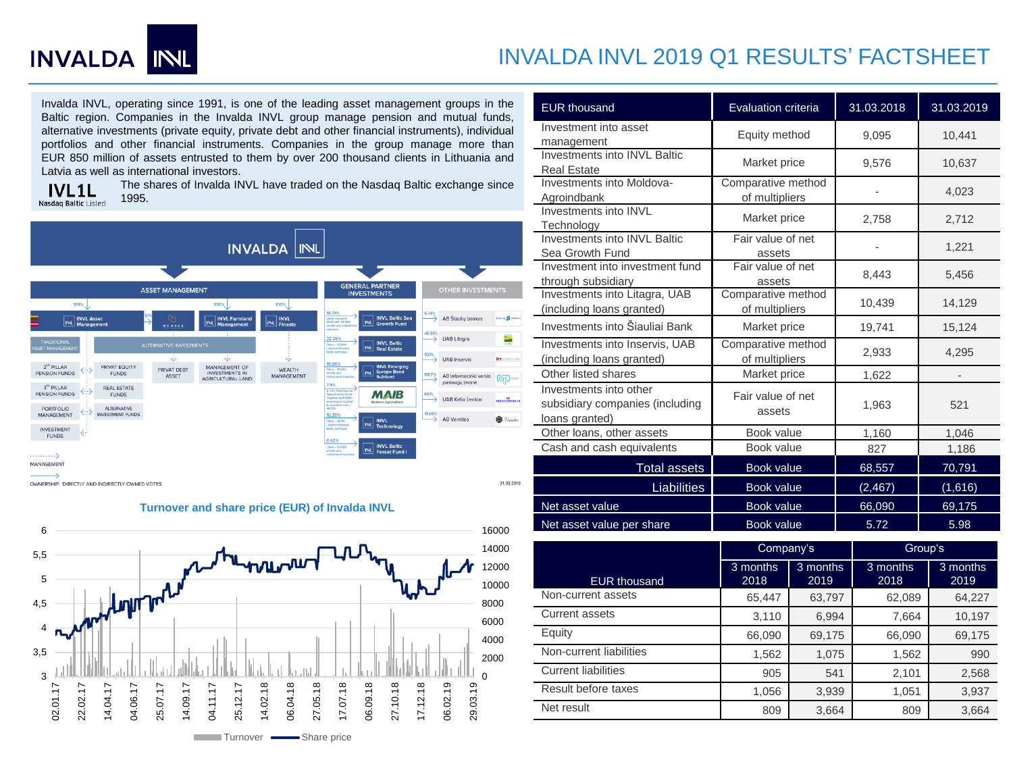

## INVALDA INVL 2019 Q1 RESULTS' FACTSHEET

Investment into asset

Investments into INVL

Sea Growth Fund

through subsidiary

Agroindbank

Investments into INVL Baltic

Investments into Moldova-

Investments into INVL Baltic

Investment into investment fund

Investments into Litagra, UAB (including loans granted)

Investments into Inservis, UAB (including loans granted)

EUR thousand Evaluation criteria 31.03.2018 31.03.2019

management Equity method 9,095 10,441

Real Estate Market price 9,576 10,637

Technology Market price 2,758 2,712

Investments into Šiauliai Bank Market price 19,741 15,124

Other listed shares Market price 1,622

Comparative method

Fair value of net

Fair value of net

Comparative method

Comparative method

of multipliers and the determinant of multipliers and the determinant of the determinant of  $4,023$ 

assets  $1,221$ 

assets 8,443 5,456

of multipliers  $10,439$  14,129

of multipliers 2,933 4,295

Invalda INVL, operating since 1991, is one of the leading asset management groups in the Baltic region. Companies in the Invalda INVL group manage pension and mutual funds, alternative investments (private equity, private debt and other financial instruments), individual portfolios and other financial instruments. Companies in the group manage more than EUR 850 million of assets entrusted to them by over 200 thousand clients in Lithuania and Latvia as well as international investors.

**IVL1L** Nasdaq Baltic Listed

The shares of Invalda INVL have traded on the Nasdaq Baltic exchange since 1995.





Investments into other subsidiary companies (including loans granted) Fair value of net assets 1,963 521 Other loans, other assets Book value 1,160 1,046 Cash and cash equivalents **Book value** 827 1,186 Total assets | Book value | 68,557 | 70,791 Liabilities Book value  $(2,467)$  (1,616) Net asset value **Book value**  $\begin{array}{|c|c|c|c|c|} \hline \text{Beta} & \text{Beta} & \text{Beta} & \text{Theta} & \text{Theta} & \text{Theta} \\ \hline \end{array}$ 

Net asset value per share The Book value Net asset value 5.98

|                            | Company's        |                  | Group's          |                  |  |
|----------------------------|------------------|------------------|------------------|------------------|--|
| <b>EUR thousand</b>        | 3 months<br>2018 | 3 months<br>2019 | 3 months<br>2018 | 3 months<br>2019 |  |
| Non-current assets         | 65,447           | 63,797           | 62,089           | 64,227           |  |
| Current assets             | 3,110            | 6,994            | 7.664            | 10,197           |  |
| Equity                     | 66,090           | 69,175           | 66,090           | 69,175           |  |
| Non-current liabilities    | 1,562            | 1,075            | 1,562            | 990              |  |
| <b>Current liabilities</b> | 905              | 541              | 2,101            | 2,568            |  |
| Result before taxes        | 1,056            | 3,939            | 1,051            | 3,937            |  |
| Net result                 | 809              | 3,664            | 809              | 3,664            |  |